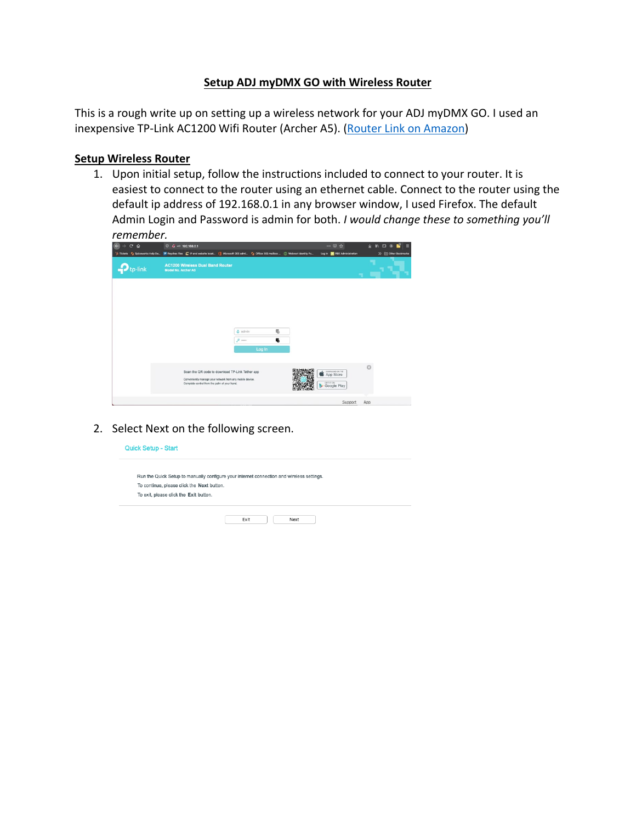## **Setup ADJ myDMX GO with Wireless Router**

This is a rough write up on setting up a wireless network for your ADJ myDMX GO. I used an inexpensive TP-Link AC1200 Wifi Router (Archer A5). [\(Router Link on Amazon\)](https://www.amazon.com/gp/product/B07RKYQGG4/ref=ppx_yo_dt_b_asin_title_o00_s00?ie=UTF8&psc=1)

## **Setup Wireless Router**

1. Upon initial setup, follow the instructions included to connect to your router. It is easiest to connect to the router using an ethernet cable. Connect to the router using the default ip address of 192.168.0.1 in any browser window, I used Firefox. The default Admin Login and Password is admin for both. *I would change these to something you'll remember.*

| $C$ $\Omega$<br>$\leftarrow$ | $\n  2 -0 192.168.0.1\n$                                                                                                                                    |        | $\cdots \heartsuit$ $\Delta$               | н<br>$\pm$ In E $\circ$<br>$\equiv$ |
|------------------------------|-------------------------------------------------------------------------------------------------------------------------------------------------------------|--------|--------------------------------------------|-------------------------------------|
|                              | >5 Tickets + Spiceworks Help De (P Paychex Flex E IP and website locat [ Microsoft 365 admi + C Office 365 mailbox  ( ) Webroot Identity Po                 |        | Log in <b>IN PBX Administration</b>        | >> Cycher Bookmarks                 |
| p-link                       | <b>AC1200 Wireless Dual Band Router</b><br>Model No. Archer A5                                                                                              |        |                                            |                                     |
|                              |                                                                                                                                                             |        |                                            |                                     |
|                              |                                                                                                                                                             |        |                                            |                                     |
|                              | $2$ admin                                                                                                                                                   | 局      |                                            |                                     |
|                              | $p$                                                                                                                                                         | 馬      |                                            |                                     |
|                              |                                                                                                                                                             | Log In |                                            |                                     |
|                              | Scan the QR code to download TP-Link Tether app<br>Conveniently manage your network from any mobile device.<br>Complete control from the palm of your hand. |        | CONNLOAD ONTHE<br>App Store<br>Google Play | Ø                                   |
|                              |                                                                                                                                                             |        | Support                                    | App                                 |

2. Select Next on the following screen.

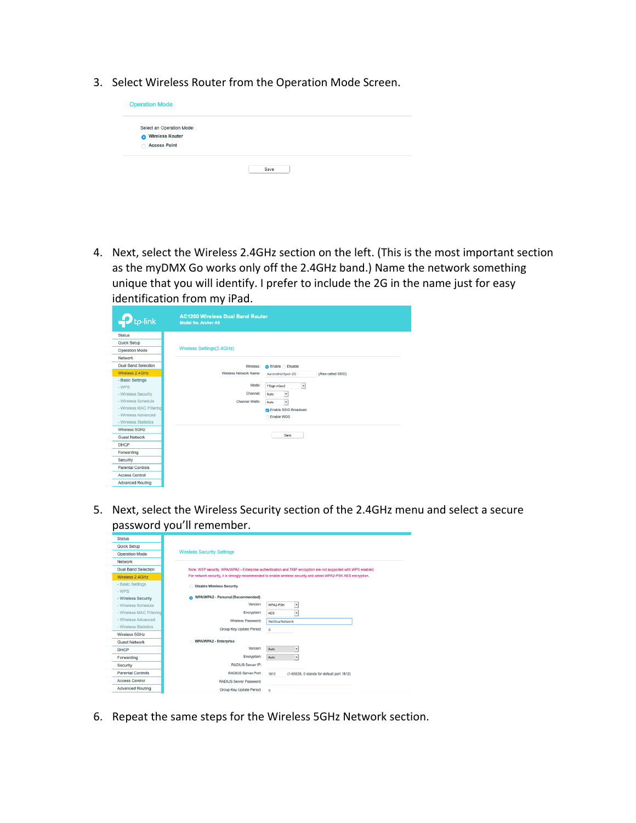3. Select Wireless Router from the Operation Mode Screen.



4. Next, select the Wireless 2.4GHz section on the left. (This is the most important section as the myDMX Go works only off the 2.4GHz band.) Name the network something unique that you will identify. I prefer to include the 2G in the name just for easy identification from my iPad.

| tp-link                    | <b>AC1200 Wireless Dual Band Router</b><br><b>Model No. Archer A5</b> |                                    |                    |
|----------------------------|-----------------------------------------------------------------------|------------------------------------|--------------------|
| <b>Status</b>              |                                                                       |                                    |                    |
| Quick Setup                |                                                                       |                                    |                    |
| Operation Mode             | Wireless Settings(2.4GHz)                                             |                                    |                    |
| Network                    |                                                                       |                                    |                    |
| <b>Dual Band Selection</b> | Wireless:                                                             | C Enable C Disable                 |                    |
| Wireless 2.4GHz            | Wireless Network Name:                                                | AaronsHotSpot-2G                   | (Also called SSID) |
| - Basic Settings           |                                                                       |                                    |                    |
| - WPS                      | Mode:                                                                 | $\vert \cdot \vert$<br>11bgn mixed |                    |
| - Wireless Security        | Channel:                                                              | Auto<br>$\star$                    |                    |
| - Wireless Schedule        | Channel Width:                                                        | $\cdot$<br>Auto                    |                    |
| - Wireless MAC Filtering   |                                                                       | <b>Z</b> Enable SSID Broadcast     |                    |
| - Wireless Advanced        |                                                                       | Enable WDS                         |                    |
| - Wireless Statistics      |                                                                       |                                    |                    |
| Wireless 5GHz              |                                                                       |                                    |                    |
| <b>Guest Network</b>       |                                                                       | Save                               |                    |
| DHCP                       |                                                                       |                                    |                    |
| Forwarding                 |                                                                       |                                    |                    |
| Security                   |                                                                       |                                    |                    |
| <b>Parental Controls</b>   |                                                                       |                                    |                    |
| <b>Access Control</b>      |                                                                       |                                    |                    |
| <b>Advanced Routing</b>    |                                                                       |                                    |                    |

5. Next, select the Wireless Security section of the 2.4GHz menu and select a secure password you'll remember.

| <b>Status</b>              |                                        |                                                                                                                  |
|----------------------------|----------------------------------------|------------------------------------------------------------------------------------------------------------------|
| Quick Setup                |                                        |                                                                                                                  |
| Operation Mode             | <b>Wireless Security Settings</b>      |                                                                                                                  |
| Network                    |                                        |                                                                                                                  |
| <b>Dual Band Selection</b> |                                        | Note: WEP security, WPA/WPA2 - Enterprise authentication and TKIP encryption are not supported with WPS enabled. |
| Wireless 2.4GHz            |                                        | For network security, it is strongly recommended to enable wireless security and select WPA2-PSK AES encryption, |
| - Basic Settings<br>- WPS  | <b>Disable Wireless Security</b>       |                                                                                                                  |
| - Wireless Security        | WPA/WPA2 - Personal (Recommended)<br>Q |                                                                                                                  |
| - Wireless Schedule        | Version:                               | WPA2-PSK<br>٠                                                                                                    |
| - Wireless MAC Filtering   | Encryption:                            | AES<br>$\overline{\phantom{a}}$                                                                                  |
| - Wireless Advanced        | Wireless Password:                     | NotYourNetwork                                                                                                   |
| - Wireless Statistics      | Group Key Update Period:               | $\circ$                                                                                                          |
| Wireless 5GHz              |                                        |                                                                                                                  |
| <b>Guest Network</b>       | <b>WPA/WPA2 - Enterprise</b>           |                                                                                                                  |
| DHCP                       | Version:                               | Auto<br>×.                                                                                                       |
| Forwarding                 | Encryption:                            | Auto<br>$\bullet$                                                                                                |
| Security                   | RADIUS Server IP:                      |                                                                                                                  |
| <b>Parental Controls</b>   | RADIUS Server Port:                    | 1812<br>(1-65535, 0 stands for default port 1812)                                                                |
| <b>Access Control</b>      | RADIUS Server Password:                |                                                                                                                  |
| <b>Advanced Routing</b>    | Group Key Update Period:               | $\Omega$                                                                                                         |

6. Repeat the same steps for the Wireless 5GHz Network section.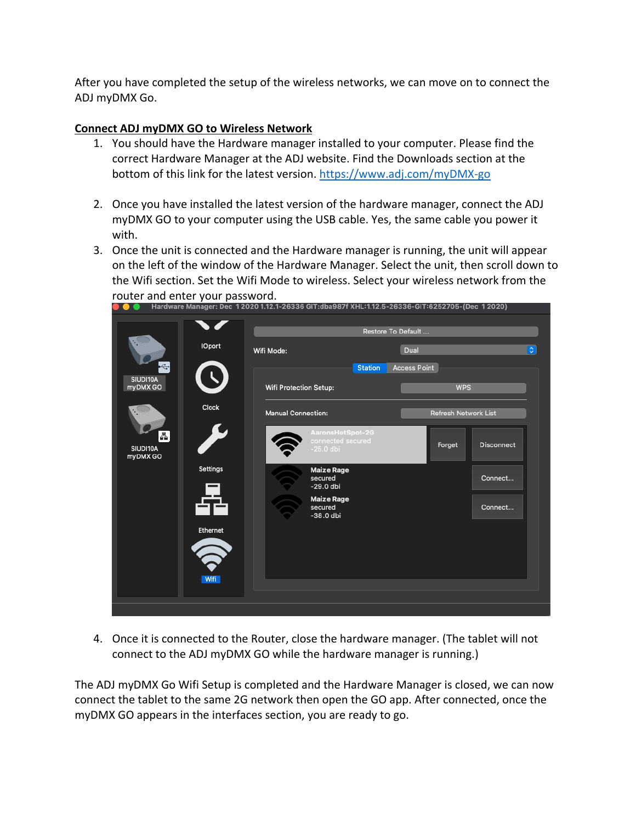After you have completed the setup of the wireless networks, we can move on to connect the ADJ myDMX Go.

## **Connect ADJ myDMX GO to Wireless Network**

- 1. You should have the Hardware manager installed to your computer. Please find the correct Hardware Manager at the ADJ website. Find the Downloads section at the bottom of this link for the latest version. [https://www.adj.com/myDMX-go](https://www.adj.com/mydmx-go)
- 2. Once you have installed the latest version of the hardware manager, connect the ADJ myDMX GO to your computer using the USB cable. Yes, the same cable you power it with.
- 3. Once the unit is connected and the Hardware manager is running, the unit will appear on the left of the window of the Hardware Manager. Select the unit, then scroll down to the Wifi section. Set the Wifi Mode to wireless. Select your wireless network from the router and enter your password.

|                           | roater and enter your password. | Hardware Manager: Dec 12020 1.12.1-26336 GIT:dba987f XHL:1.12.5-26336-GIT:6252705-(Dec 12020) |                |                                   |                   |
|---------------------------|---------------------------------|-----------------------------------------------------------------------------------------------|----------------|-----------------------------------|-------------------|
|                           |                                 | Restore To Default                                                                            |                |                                   |                   |
|                           | <b>IOport</b>                   | Wifi Mode:                                                                                    |                | Dual                              | $\circ$           |
| ÷<br>SIUDI10A<br>myDMX GO |                                 | Wifi Protection Setup:                                                                        | <b>Station</b> | <b>Access Point</b><br><b>WPS</b> |                   |
| <b>Clock</b>              |                                 | <b>Manual Connection:</b>                                                                     |                | <b>Refresh Network List</b>       |                   |
| 晶<br>SIUDI10A<br>myDMX GO |                                 | AaronsHotSpot-2G<br>connected secured<br>$-25.0$ dbi                                          |                | Forget                            | <b>Disconnect</b> |
|                           | Settings                        | <b>Maize Rage</b><br>secured<br>$-29.0$ dbi                                                   |                |                                   | Connect           |
|                           |                                 | <b>Maize Rage</b><br>secured<br>$-38.0$ dbi                                                   |                |                                   | Connect           |
|                           | Ethernet                        |                                                                                               |                |                                   |                   |
|                           | Wifi                            |                                                                                               |                |                                   |                   |
|                           |                                 |                                                                                               |                |                                   |                   |
|                           |                                 |                                                                                               |                |                                   |                   |

4. Once it is connected to the Router, close the hardware manager. (The tablet will not connect to the ADJ myDMX GO while the hardware manager is running.)

The ADJ myDMX Go Wifi Setup is completed and the Hardware Manager is closed, we can now connect the tablet to the same 2G network then open the GO app. After connected, once the myDMX GO appears in the interfaces section, you are ready to go.